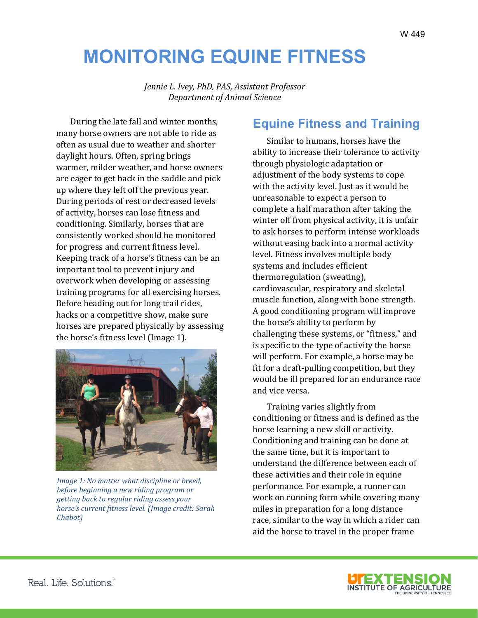# **MONITORING EQUINE FITNESS**

*Jennie L. Ivey, PhD, PAS, Assistant Professor Department of Animal Science*

During the late fall and winter months, many horse owners are not able to ride as often as usual due to weather and shorter daylight hours. Often, spring brings warmer, milder weather, and horse owners are eager to get back in the saddle and pick up where they left off the previous year. During periods of rest or decreased levels of activity, horses can lose fitness and conditioning. Similarly, horses that are consistently worked should be monitored for progress and current fitness level. Keeping track of a horse's fitness can be an important tool to prevent injury and overwork when developing or assessing training programs for all exercising horses. Before heading out for long trail rides, hacks or a competitive show, make sure horses are prepared physically by assessing the horse's fitness level (Image 1).



*Image 1: No matter what discipline or breed, before beginning a new riding program or getting back to regular riding assess your horse's current fitness level. (Image credit: Sarah Chabot)*

## **Equine Fitness and Training**

Similar to humans, horses have the ability to increase their tolerance to activity through physiologic adaptation or adjustment of the body systems to cope with the activity level. Just as it would be unreasonable to expect a person to complete a half marathon after taking the winter off from physical activity, it is unfair to ask horses to perform intense workloads without easing back into a normal activity level. Fitness involves multiple body systems and includes efficient thermoregulation (sweating), cardiovascular, respiratory and skeletal muscle function, along with bone strength. A good conditioning program will improve the horse's ability to perform by challenging these systems, or "fitness," and is specific to the type of activity the horse will perform. For example, a horse may be fit for a draft-pulling competition, but they would be ill prepared for an endurance race and vice versa.

Training varies slightly from conditioning or fitness and is defined as the horse learning a new skill or activity. Conditioning and training can be done at the same time, but it is important to understand the difference between each of these activities and their role in equine performance. For example, a runner can work on running form while covering many miles in preparation for a long distance race, similar to the way in which a rider can aid the horse to travel in the proper frame

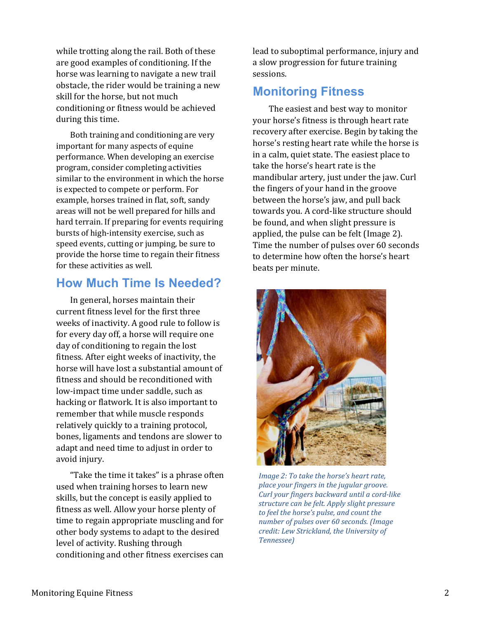while trotting along the rail. Both of these are good examples of conditioning. If the horse was learning to navigate a new trail obstacle, the rider would be training a new skill for the horse, but not much conditioning or fitness would be achieved during this time.

Both training and conditioning are very important for many aspects of equine performance. When developing an exercise program, consider completing activities similar to the environment in which the horse is expected to compete or perform. For example, horses trained in flat, soft, sandy areas will not be well prepared for hills and hard terrain. If preparing for events requiring bursts of high-intensity exercise, such as speed events, cutting or jumping, be sure to provide the horse time to regain their fitness for these activities as well.

#### **How Much Time Is Needed?**

In general, horses maintain their current fitness level for the first three weeks of inactivity. A good rule to follow is for every day off, a horse will require one day of conditioning to regain the lost fitness. After eight weeks of inactivity, the horse will have lost a substantial amount of fitness and should be reconditioned with low-impact time under saddle, such as hacking or flatwork. It is also important to remember that while muscle responds relatively quickly to a training protocol, bones, ligaments and tendons are slower to adapt and need time to adjust in order to avoid injury.

"Take the time it takes" is a phrase often used when training horses to learn new skills, but the concept is easily applied to fitness as well. Allow your horse plenty of time to regain appropriate muscling and for other body systems to adapt to the desired level of activity. Rushing through conditioning and other fitness exercises can

lead to suboptimal performance, injury and a slow progression for future training sessions.

### **Monitoring Fitness**

The easiest and best way to monitor your horse's fitness is through heart rate recovery after exercise. Begin by taking the horse's resting heart rate while the horse is in a calm, quiet state. The easiest place to take the horse's heart rate is the mandibular artery, just under the jaw. Curl the fingers of your hand in the groove between the horse's jaw, and pull back towards you. A cord-like structure should be found, and when slight pressure is applied, the pulse can be felt (Image 2). Time the number of pulses over 60 seconds to determine how often the horse's heart beats per minute.



*Image 2: To take the horse's heart rate, place your fingers in the jugular groove. Curl your fingers backward until a cord-like structure can be felt. Apply slight pressure to feel the horse's pulse, and count the number of pulses over 60 seconds. (Image credit: Lew Strickland, the University of Tennessee)*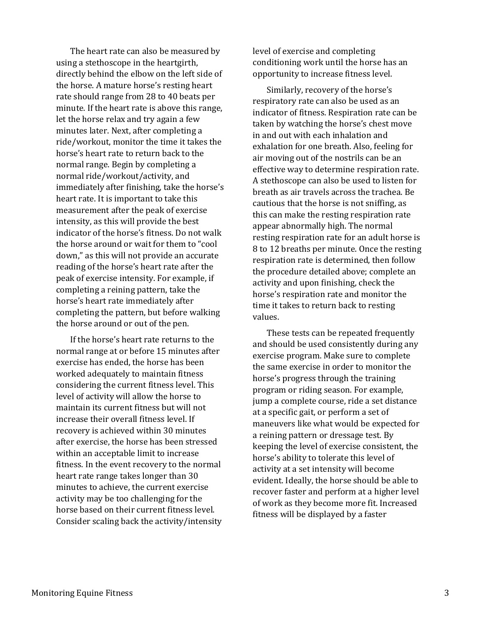The heart rate can also be measured by using a stethoscope in the heartgirth, directly behind the elbow on the left side of the horse. A mature horse's resting heart rate should range from 28 to 40 beats per minute. If the heart rate is above this range, let the horse relax and try again a few minutes later. Next, after completing a ride/workout, monitor the time it takes the horse's heart rate to return back to the normal range. Begin by completing a normal ride/workout/activity, and immediately after finishing, take the horse's heart rate. It is important to take this measurement after the peak of exercise intensity, as this will provide the best indicator of the horse's fitness. Do not walk the horse around or wait for them to "cool down," as this will not provide an accurate reading of the horse's heart rate after the peak of exercise intensity. For example, if completing a reining pattern, take the horse's heart rate immediately after completing the pattern, but before walking the horse around or out of the pen.

If the horse's heart rate returns to the normal range at or before 15 minutes after exercise has ended, the horse has been worked adequately to maintain fitness considering the current fitness level. This level of activity will allow the horse to maintain its current fitness but will not increase their overall fitness level. If recovery is achieved within 30 minutes after exercise, the horse has been stressed within an acceptable limit to increase fitness. In the event recovery to the normal heart rate range takes longer than 30 minutes to achieve, the current exercise activity may be too challenging for the horse based on their current fitness level. Consider scaling back the activity/intensity level of exercise and completing conditioning work until the horse has an opportunity to increase fitness level.

Similarly, recovery of the horse's respiratory rate can also be used as an indicator of fitness. Respiration rate can be taken by watching the horse's chest move in and out with each inhalation and exhalation for one breath. Also, feeling for air moving out of the nostrils can be an effective way to determine respiration rate. A stethoscope can also be used to listen for breath as air travels across the trachea. Be cautious that the horse is not sniffing, as this can make the resting respiration rate appear abnormally high. The normal resting respiration rate for an adult horse is 8 to 12 breaths per minute. Once the resting respiration rate is determined, then follow the procedure detailed above; complete an activity and upon finishing, check the horse's respiration rate and monitor the time it takes to return back to resting values.

These tests can be repeated frequently and should be used consistently during any exercise program. Make sure to complete the same exercise in order to monitor the horse's progress through the training program or riding season. For example, jump a complete course, ride a set distance at a specific gait, or perform a set of maneuvers like what would be expected for a reining pattern or dressage test. By keeping the level of exercise consistent, the horse's ability to tolerate this level of activity at a set intensity will become evident. Ideally, the horse should be able to recover faster and perform at a higher level of work as they become more fit. Increased fitness will be displayed by a faster